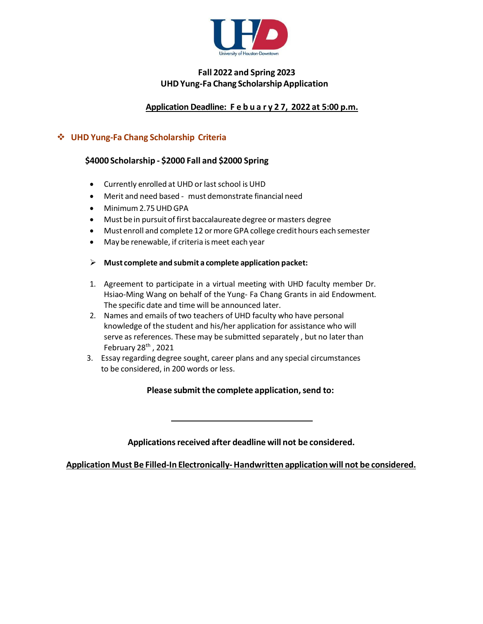

# **Fall 2022 and Spring 2023 UHDYung-Fa Chang ScholarshipApplication**

# **Application Deadline: F e b u a r y 2 7, 2022 at 5:00 p.m.**

### **UHD Yung-Fa Chang Scholarship Criteria**

#### **\$4000 Scholarship - \$2000 Fall and \$2000 Spring**

- Currently enrolled at UHD or last school isUHD
- Merit and need based must demonstrate financial need
- Minimum2.75UHDGPA
- Must be in pursuit of first baccalaureate degree or masters degree
- Must enroll and complete 12 or more GPA college credit hours each semester
- May be renewable, if criteria ismeet each year
- **Must complete and submit a complete application packet:**
- 1. Agreement to participate in a virtual meeting with UHD faculty member Dr. Hsiao-Ming Wang on behalf of the Yung- Fa Chang Grants in aid Endowment. The specific date and time will be announced later.
- 2. Names and emails of two teachers of UHD faculty who have personal knowledge of the student and his/her application for assistance who will serve as references. These may be submitted separately , but no later than February  $28<sup>th</sup>$ , 2021
- 3. Essay regarding degree sought, career plans and any special circumstances to be considered, in 200 words or less.

**Please submit the complete application, send to:** 

**Applicationsreceived after deadline will not be considered.**

**Application Must Be Filled-In Electronically- Handwritten applicationwill not be considered.**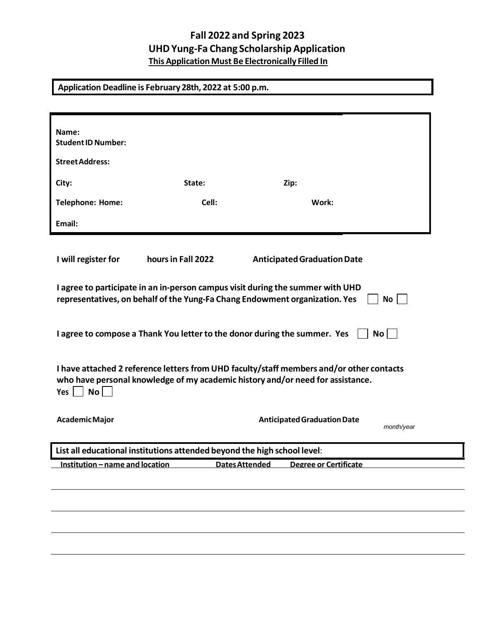# **Fall 2022 and Spring 2023 UHDYung-Fa Chang Scholarship Application This Application Must Be Electronically Filled In**

**Application Deadline is February 28th, 2022 at 5:00 p.m.**

| State:                                                                                                                                                                                                         | Zip:                               |                |
|----------------------------------------------------------------------------------------------------------------------------------------------------------------------------------------------------------------|------------------------------------|----------------|
| Cell:                                                                                                                                                                                                          | Work:                              |                |
|                                                                                                                                                                                                                |                                    |                |
|                                                                                                                                                                                                                |                                    |                |
| hours in Fall 2022                                                                                                                                                                                             | <b>Anticipated Graduation Date</b> |                |
| I agree to participate in an in-person campus visit during the summer with UHD<br>representatives, on behalf of the Yung-Fa Chang Endowment organization. Yes<br>No                                            |                                    |                |
| I agree to compose a Thank You letter to the donor during the summer. Yes<br>$\mathsf{No}$                                                                                                                     |                                    |                |
| I have attached 2 reference letters from UHD faculty/staff members and/or other contacts<br>who have personal knowledge of my academic history and/or need for assistance.<br><b>No</b><br>Yes $\vert$ $\vert$ |                                    |                |
|                                                                                                                                                                                                                | <b>Anticipated Graduation Date</b> | month/year     |
| List all educational institutions attended beyond the high school level:                                                                                                                                       |                                    |                |
| Institution - name and location                                                                                                                                                                                | <b>Degree or Certificate</b>       |                |
|                                                                                                                                                                                                                |                                    |                |
|                                                                                                                                                                                                                |                                    |                |
|                                                                                                                                                                                                                |                                    |                |
|                                                                                                                                                                                                                |                                    | Dates Attended |